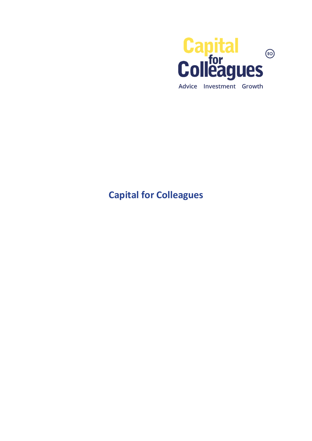

## Capital for Colleagues